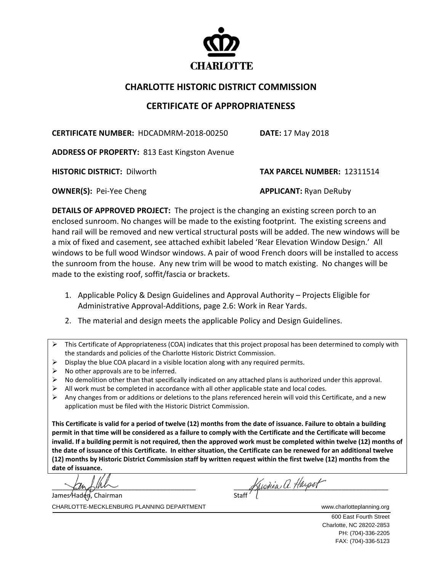

## **CHARLOTTE HISTORIC DISTRICT COMMISSION**

## **CERTIFICATE OF APPROPRIATENESS**

**CERTIFICATE NUMBER:** HDCADMRM‐2018‐00250 **DATE:** 17 May 2018

**ADDRESS OF PROPERTY:** 813 East Kingston Avenue

**HISTORIC DISTRICT:** Dilworth **TAX PARCEL NUMBER:** 12311514

**OWNER(S):** Pei‐Yee Cheng **APPLICANT:** Ryan DeRuby

**DETAILS OF APPROVED PROJECT:** The project is the changing an existing screen porch to an enclosed sunroom. No changes will be made to the existing footprint. The existing screens and hand rail will be removed and new vertical structural posts will be added. The new windows will be a mix of fixed and casement, see attached exhibit labeled 'Rear Elevation Window Design.' All windows to be full wood Windsor windows. A pair of wood French doors will be installed to access the sunroom from the house. Any new trim will be wood to match existing. No changes will be made to the existing roof, soffit/fascia or brackets.

- 1. Applicable Policy & Design Guidelines and Approval Authority Projects Eligible for Administrative Approval‐Additions, page 2.6: Work in Rear Yards.
- 2. The material and design meets the applicable Policy and Design Guidelines.
- $\triangleright$  This Certificate of Appropriateness (COA) indicates that this project proposal has been determined to comply with the standards and policies of the Charlotte Historic District Commission.
- $\triangleright$  Display the blue COA placard in a visible location along with any required permits.
- $\triangleright$  No other approvals are to be inferred.
- $\triangleright$  No demolition other than that specifically indicated on any attached plans is authorized under this approval.
- All work must be completed in accordance with all other applicable state and local codes.
- $\triangleright$  Any changes from or additions or deletions to the plans referenced herein will void this Certificate, and a new application must be filed with the Historic District Commission.

This Certificate is valid for a period of twelve (12) months from the date of issuance. Failure to obtain a building permit in that time will be considered as a failure to comply with the Certificate and the Certificate will become invalid. If a building permit is not required, then the approved work must be completed within twelve (12) months of the date of issuance of this Certificate. In either situation, the Certificate can be renewed for an additional twelve (12) months by Historic District Commission staff by written request within the first twelve (12) months from the **date of issuance.** 

James Haden, Chairman

 $\left| \begin{array}{cc} \end{array} \right| \left| \begin{array}{cc} \end{array} \right| \left| \begin{array}{cc} \end{array} \right| \left| \begin{array}{cc} \end{array} \right| \left| \begin{array}{cc} \end{array} \right| \left| \begin{array}{cc} \end{array} \right| \left| \begin{array}{cc} \end{array} \right| \left| \begin{array}{cc} \end{array} \right| \left| \begin{array}{cc} \end{array} \right| \left| \begin{array}{cc} \end{array} \right| \left| \begin{array}{cc} \end{array} \right| \left| \begin{array}{cc} \end{array} \right| \left| \$  $\mathcal{L}$ lm $\mathcal{L}$ ll $\mathcal{L}$ 

CHARLOTTE-MECKLENBURG PLANNING DEPARTMENT WWW.Charlotteplanning.org

 600 East Fourth Street Charlotte, NC 28202-2853 PH: (704)-336-2205 FAX: (704)-336-5123